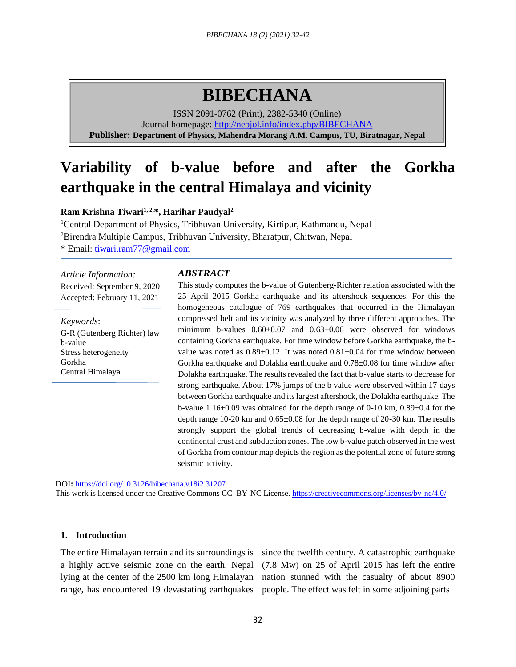# **BIBECHANA**

ISSN 2091-0762 (Print), 2382-5340 (Online) Journal homepage:<http://nepjol.info/index.php/BIBECHANA> **Publisher: Department of Physics, Mahendra Morang A.M. Campus, TU, Biratnagar, Nepal**

## **Variability of b-value before and after the Gorkha earthquake in the central Himalaya and vicinity**

**Ram Krishna Tiwari1, 2,\*, Harihar Paudyal<sup>2</sup>**

<sup>1</sup>Central Department of Physics, Tribhuvan University, Kirtipur, Kathmandu, Nepal <sup>2</sup>Birendra Multiple Campus, Tribhuvan University, Bharatpur, Chitwan, Nepal \* Email: [tiwari.ram77@gmail.com](mailto:tiwari.ram77@gmail.com)

*Article Information:* Received: September 9, 2020 Accepted: February 11, 2021

*Keywords*: G-R (Gutenberg Richter) law b-value Stress heterogeneity Gorkha Central Himalaya

## *ABSTRACT*

This study computes the b-value of Gutenberg-Richter relation associated with the 25 April 2015 Gorkha earthquake and its aftershock sequences. For this the homogeneous catalogue of 769 earthquakes that occurred in the Himalayan compressed belt and its vicinity was analyzed by three different approaches. The minimum b-values 0.60±0.07 and 0.63±0.06 were observed for windows containing Gorkha earthquake. For time window before Gorkha earthquake, the bvalue was noted as 0.89±0.12. It was noted 0.81±0.04 for time window between Gorkha earthquake and Dolakha earthquake and 0.78±0.08 for time window after Dolakha earthquake. The results revealed the fact that b-value starts to decrease for strong earthquake. About 17% jumps of the b value were observed within 17 days between Gorkha earthquake and its largest aftershock, the Dolakha earthquake. The b-value  $1.16\pm0.09$  was obtained for the depth range of 0-10 km,  $0.89\pm0.4$  for the depth range 10-20 km and 0.65±0.08 for the depth range of 20-30 km. The results strongly support the global trends of decreasing b-value with depth in the continental crust and subduction zones. The low b-value patch observed in the west of Gorkha from contour map depicts the region as the potential zone of future strong seismic activity.

DOI**:** <https://doi.org/10.3126/bibechana.v18i2.31207> This work is licensed under the Creative Commons CC BY-NC License.<https://creativecommons.org/licenses/by-nc/4.0/>

## **1. Introduction**

range, has encountered 19 devastating earthquakes people. The effect was felt in some adjoining parts

The entire Himalayan terrain and its surroundings is since the twelfth century. A catastrophic earthquake a highly active seismic zone on the earth. Nepal (7.8 Mw) on 25 of April 2015 has left the entire lying at the center of the 2500 km long Himalayan nation stunned with the casualty of about 8900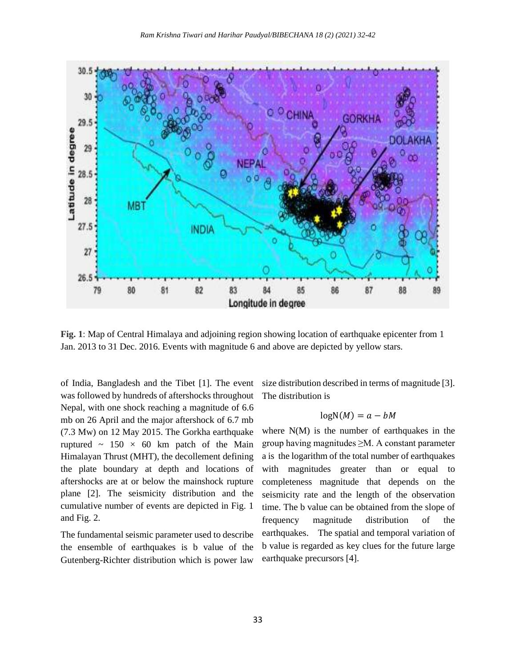

**Fig. 1**: Map of Central Himalaya and adjoining region showing location of earthquake epicenter from 1 Jan. 2013 to 31 Dec. 2016. Events with magnitude 6 and above are depicted by yellow stars.

of India, Bangladesh and the Tibet [1]. The event was followed by hundreds of aftershocks throughout Nepal, with one shock reaching a magnitude of 6.6 mb on 26 April and the major aftershock of 6.7 mb (7.3 Mw) on 12 May 2015. The Gorkha earthquake ruptured  $\sim$  150  $\times$  60 km patch of the Main Himalayan Thrust (MHT), the decollement defining the plate boundary at depth and locations of aftershocks are at or below the mainshock rupture plane [2]. The seismicity distribution and the cumulative number of events are depicted in Fig. 1 and Fig. 2.

The fundamental seismic parameter used to describe the ensemble of earthquakes is b value of the Gutenberg-Richter distribution which is power law

size distribution described in terms of magnitude [3]. The distribution is

## $logN(M) = a - bM$

where  $N(M)$  is the number of earthquakes in the group having magnitudes ≥M. A constant parameter a is the logarithm of the total number of earthquakes with magnitudes greater than or equal to completeness magnitude that depends on the seismicity rate and the length of the observation time. The b value can be obtained from the slope of frequency magnitude distribution of the earthquakes. The spatial and temporal variation of b value is regarded as key clues for the future large earthquake precursors [4].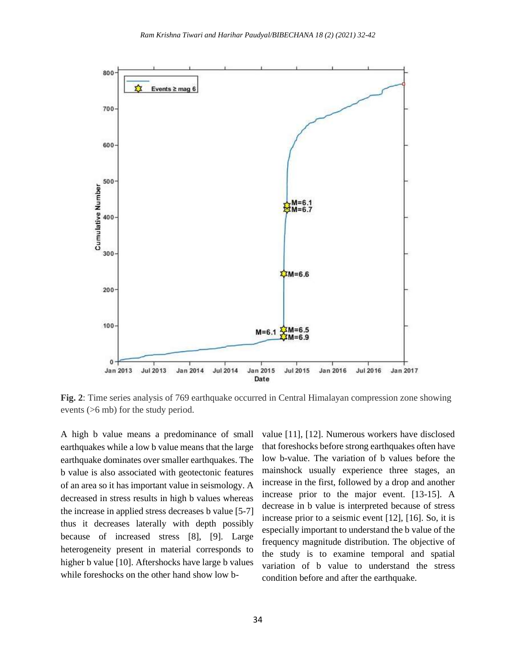

**Fig. 2**: Time series analysis of 769 earthquake occurred in Central Himalayan compression zone showing events (>6 mb) for the study period.

A high b value means a predominance of small earthquakes while a low b value means that the large earthquake dominates over smaller earthquakes. The b value is also associated with geotectonic features of an area so it has important value in seismology. A decreased in stress results in high b values whereas the increase in applied stress decreases b value [5-7] thus it decreases laterally with depth possibly because of increased stress [8], [9]. Large heterogeneity present in material corresponds to higher b value [10]. Aftershocks have large b values while foreshocks on the other hand show low bvalue [11], [12]. Numerous workers have disclosed that foreshocks before strong earthquakes often have low b-value. The variation of b values before the mainshock usually experience three stages, an increase in the first, followed by a drop and another increase prior to the major event. [13-15]. A decrease in b value is interpreted because of stress increase prior to a seismic event [12], [16]. So, it is especially important to understand the b value of the frequency magnitude distribution. The objective of the study is to examine temporal and spatial variation of b value to understand the stress condition before and after the earthquake.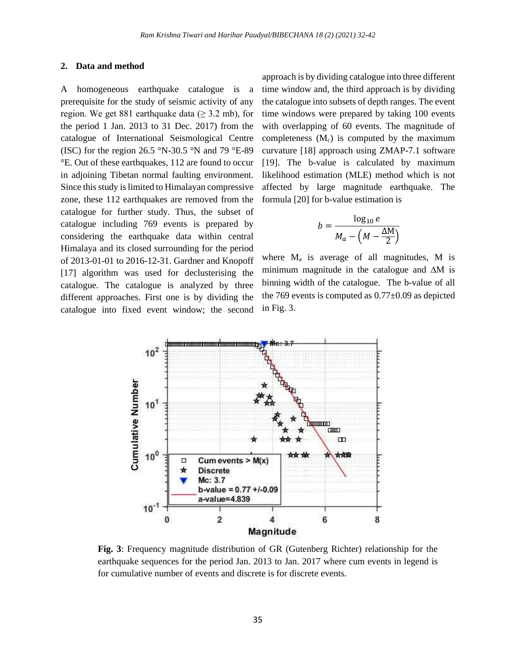#### **2. Data and method**

A homogeneous earthquake catalogue is a prerequisite for the study of seismic activity of any region. We get 881 earthquake data ( $\geq$  3.2 mb), for the period 1 Jan. 2013 to 31 Dec. 2017) from the catalogue of International Seismological Centre (ISC) for the region 26.5 °N-30.5 °N and 79 °E-89 °E. Out of these earthquakes, 112 are found to occur in adjoining Tibetan normal faulting environment. Since this study is limited to Himalayan compressive zone, these 112 earthquakes are removed from the catalogue for further study. Thus, the subset of catalogue including 769 events is prepared by considering the earthquake data within central Himalaya and its closed surrounding for the period of 2013-01-01 to 2016-12-31. Gardner and Knopoff [17] algorithm was used for declusterising the catalogue. The catalogue is analyzed by three different approaches. First one is by dividing the catalogue into fixed event window; the second

approach is by dividing catalogue into three different time window and, the third approach is by dividing the catalogue into subsets of depth ranges. The event time windows were prepared by taking 100 events with overlapping of 60 events. The magnitude of completeness  $(M_c)$  is computed by the maximum curvature [18] approach using ZMAP-7.1 software [19]. The b-value is calculated by maximum likelihood estimation (MLE) method which is not affected by large magnitude earthquake. The formula [20] for b-value estimation is

$$
b = \frac{\log_{10} e}{M_a - \left(M - \frac{\Delta M}{2}\right)}
$$

where  $M_a$  is average of all magnitudes, M is minimum magnitude in the catalogue and ∆M is binning width of the catalogue. The b-value of all the 769 events is computed as 0.77±0.09 as depicted in Fig. 3.



**Fig. 3**: Frequency magnitude distribution of GR (Gutenberg Richter) relationship for the earthquake sequences for the period Jan. 2013 to Jan. 2017 where cum events in legend is for cumulative number of events and discrete is for discrete events.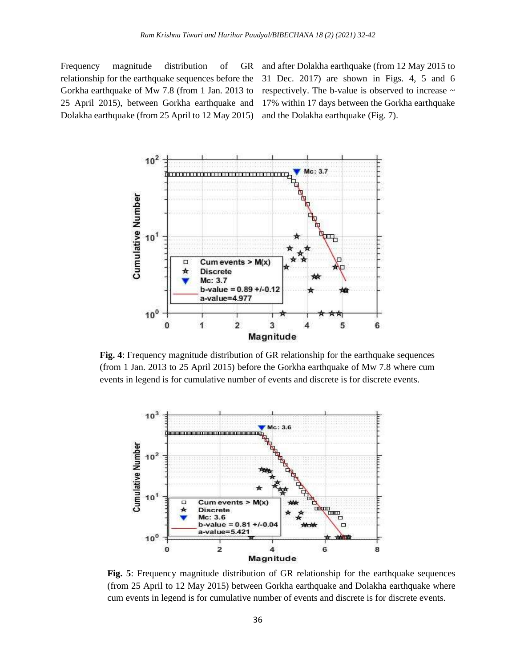Frequency magnitude distribution of GR relationship for the earthquake sequences before the Gorkha earthquake of Mw 7.8 (from 1 Jan. 2013 to 25 April 2015), between Gorkha earthquake and Dolakha earthquake (from 25 April to 12 May 2015)

and after Dolakha earthquake (from 12 May 2015 to 31 Dec. 2017) are shown in Figs. 4, 5 and 6 respectively. The b-value is observed to increase ~ 17% within 17 days between the Gorkha earthquake and the Dolakha earthquake (Fig. 7).



**Fig. 4**: Frequency magnitude distribution of GR relationship for the earthquake sequences (from 1 Jan. 2013 to 25 April 2015) before the Gorkha earthquake of Mw 7.8 where cum events in legend is for cumulative number of events and discrete is for discrete events.



**Fig. 5**: Frequency magnitude distribution of GR relationship for the earthquake sequences (from 25 April to 12 May 2015) between Gorkha earthquake and Dolakha earthquake where cum events in legend is for cumulative number of events and discrete is for discrete events.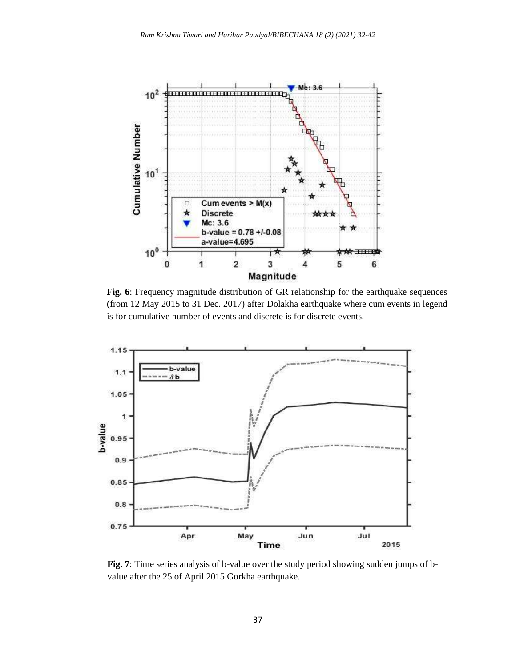

**Fig. 6**: Frequency magnitude distribution of GR relationship for the earthquake sequences (from 12 May 2015 to 31 Dec. 2017) after Dolakha earthquake where cum events in legend is for cumulative number of events and discrete is for discrete events.



**Fig. 7**: Time series analysis of b-value over the study period showing sudden jumps of bvalue after the 25 of April 2015 Gorkha earthquake.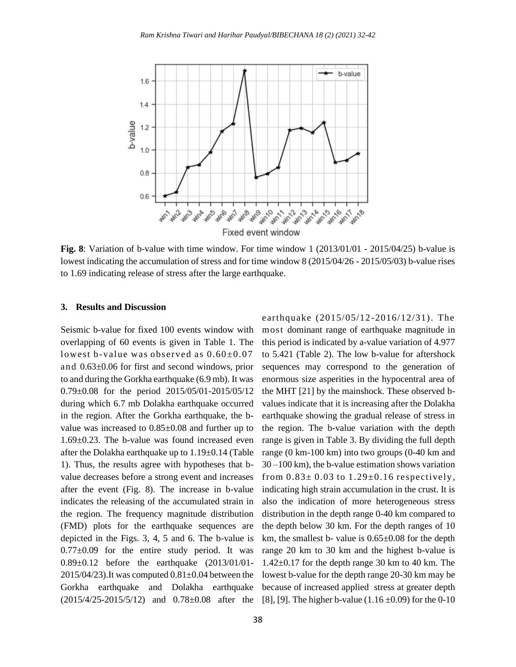

**Fig. 8**: Variation of b-value with time window. For time window 1 (2013/01/01 - 2015/04/25) b-value is lowest indicating the accumulation of stress and for time window 8 (2015/04/26 - 2015/05/03) b-value rises to 1.69 indicating release of stress after the large earthquake.

## **3. Results and Discussion**

Seismic b-value for fixed 100 events window with overlapping of 60 events is given in Table 1. The lowest b-value was observed as  $0.60\pm0.07$ and 0.63±0.06 for first and second windows, prior to and during the Gorkha earthquake (6.9 mb). It was 0.79±0.08 for the period 2015/05/01-2015/05/12 during which 6.7 mb Dolakha earthquake occurred in the region. After the Gorkha earthquake, the bvalue was increased to 0.85±0.08 and further up to 1.69±0.23. The b-value was found increased even after the Dolakha earthquake up to 1.19±0.14 (Table 1). Thus, the results agree with hypotheses that bvalue decreases before a strong event and increases after the event (Fig. 8). The increase in b-value indicates the releasing of the accumulated strain in the region. The frequency magnitude distribution (FMD) plots for the earthquake sequences are depicted in the Figs. 3, 4, 5 and 6. The b-value is  $0.77\pm0.09$  for the entire study period. It was 0.89±0.12 before the earthquake (2013/01/01-  $2015/04/23$ ). It was computed  $0.81\pm0.04$  between the Gorkha earthquake and Dolakha earthquake (2015/4/25-2015/5/12) and 0.78±0.08 after the

earthquake (2015/05/12-2016/12/31). The most dominant range of earthquake magnitude in this period is indicated by a-value variation of 4.977 to 5.421 (Table 2). The low b-value for aftershock sequences may correspond to the generation of enormous size asperities in the hypocentral area of the MHT [21] by the mainshock. These observed bvalues indicate that it is increasing after the Dolakha earthquake showing the gradual release of stress in the region. The b-value variation with the depth range is given in Table 3. By dividing the full depth range (0 km-100 km) into two groups (0-40 km and 30 –100 km), the b-value estimation shows variation from  $0.83\pm0.03$  to  $1.29\pm0.16$  respectively, indicating high strain accumulation in the crust. It is also the indication of more heterogeneous stress distribution in the depth range 0-40 km compared to the depth below 30 km. For the depth ranges of 10 km, the smallest b- value is 0.65±0.08 for the depth range 20 km to 30 km and the highest b-value is 1.42±0.17 for the depth range 30 km to 40 km. The lowest b-value for the depth range 20-30 km may be because of increased applied stress at greater depth [8], [9]. The higher b-value  $(1.16 \pm 0.09)$  for the 0-10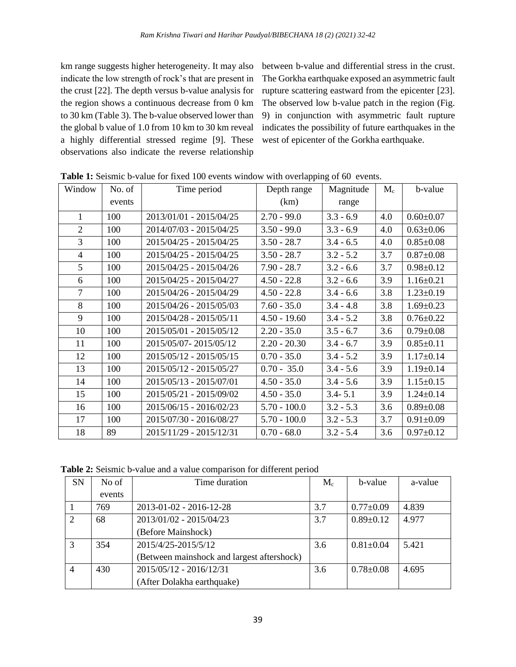km range suggests higher heterogeneity. It may also indicate the low strength of rock's that are present in the crust [22]. The depth versus b-value analysis for the region shows a continuous decrease from 0 km to 30 km (Table 3). The b-value observed lower than the global b value of 1.0 from 10 km to 30 km reveal a highly differential stressed regime [9]. These observations also indicate the reverse relationship

between b-value and differential stress in the crust. The Gorkha earthquake exposed an asymmetric fault rupture scattering eastward from the epicenter [23]. The observed low b-value patch in the region (Fig. 9) in conjunction with asymmetric fault rupture indicates the possibility of future earthquakes in the west of epicenter of the Gorkha earthquake.

| Window         | No. of | Depth range<br>Time period |                | Magnitude   | $M_c$ | b-value         |
|----------------|--------|----------------------------|----------------|-------------|-------|-----------------|
|                | events |                            | (km)           | range       |       |                 |
| 1              | 100    | 2013/01/01 - 2015/04/25    | $2.70 - 99.0$  | $3.3 - 6.9$ | 4.0   | $0.60 \pm 0.07$ |
| $\overline{2}$ | 100    | 2014/07/03 - 2015/04/25    | $3.50 - 99.0$  | $3.3 - 6.9$ | 4.0   | $0.63 \pm 0.06$ |
| 3              | 100    | 2015/04/25 - 2015/04/25    | $3.50 - 28.7$  | $3.4 - 6.5$ | 4.0   | $0.85 \pm 0.08$ |
| $\overline{4}$ | 100    | 2015/04/25 - 2015/04/25    | $3.50 - 28.7$  | $3.2 - 5.2$ | 3.7   | $0.87 \pm 0.08$ |
| 5              | 100    | 2015/04/25 - 2015/04/26    | $7.90 - 28.7$  | $3.2 - 6.6$ | 3.7   | $0.98 \pm 0.12$ |
| 6              | 100    | 2015/04/25 - 2015/04/27    | $4.50 - 22.8$  | $3.2 - 6.6$ | 3.9   | $1.16 \pm 0.21$ |
| $\overline{7}$ | 100    | 2015/04/26 - 2015/04/29    | $4.50 - 22.8$  | $3.4 - 6.6$ | 3.8   | $1.23 \pm 0.19$ |
| 8              | 100    | 2015/04/26 - 2015/05/03    | $7.60 - 35.0$  | $3.4 - 4.8$ | 3.8   | $1.69 \pm 0.23$ |
| 9              | 100    | 2015/04/28 - 2015/05/11    | $4.50 - 19.60$ | $3.4 - 5.2$ | 3.8   | $0.76 \pm 0.22$ |
| 10             | 100    | 2015/05/01 - 2015/05/12    | $2.20 - 35.0$  | $3.5 - 6.7$ | 3.6   | $0.79 \pm 0.08$ |
| 11             | 100    | 2015/05/07-2015/05/12      | $2.20 - 20.30$ | $3.4 - 6.7$ | 3.9   | $0.85 \pm 0.11$ |
| 12             | 100    | 2015/05/12 - 2015/05/15    | $0.70 - 35.0$  | $3.4 - 5.2$ | 3.9   | $1.17 \pm 0.14$ |
| 13             | 100    | 2015/05/12 - 2015/05/27    | $0.70 - 35.0$  | $3.4 - 5.6$ | 3.9   | $1.19 \pm 0.14$ |
| 14             | 100    | 2015/05/13 - 2015/07/01    | $4.50 - 35.0$  | $3.4 - 5.6$ | 3.9   | $1.15 \pm 0.15$ |
| 15             | 100    | 2015/05/21 - 2015/09/02    | $4.50 - 35.0$  | $3.4 - 5.1$ | 3.9   | $1.24 \pm 0.14$ |
| 16             | 100    | 2015/06/15 - 2016/02/23    | $5.70 - 100.0$ | $3.2 - 5.3$ | 3.6   | $0.89 \pm 0.08$ |
| 17             | 100    | 2015/07/30 - 2016/08/27    | $5.70 - 100.0$ | $3.2 - 5.3$ | 3.7   | $0.91 \pm 0.09$ |
| 18             | 89     | 2015/11/29 - 2015/12/31    | $0.70 - 68.0$  | $3.2 - 5.4$ | 3.6   | $0.97 \pm 0.12$ |

**Table 1:** Seismic b-value for fixed 100 events window with overlapping of 60 events.

**Table 2:** Seismic b-value and a value comparison for different period

| <b>SN</b>                   | No of  | Time duration                              | $\rm\,M_{c}$ | b-value         | a-value |
|-----------------------------|--------|--------------------------------------------|--------------|-----------------|---------|
|                             | events |                                            |              |                 |         |
|                             | 769    | $2013 - 01 - 02 - 2016 - 12 - 28$          | 3.7          | $0.77 \pm 0.09$ | 4.839   |
| $\mathcal{D}_{\mathcal{L}}$ | 68     | 2013/01/02 - 2015/04/23                    | 3.7          | $0.89 \pm 0.12$ | 4.977   |
|                             |        | (Before Mainshock)                         |              |                 |         |
| $\mathcal{R}$               | 354    | 2015/4/25-2015/5/12                        | 3.6          | $0.81 \pm 0.04$ | 5.421   |
|                             |        | (Between mainshock and largest aftershock) |              |                 |         |
| $\overline{4}$              | 430    | 2015/05/12 - 2016/12/31                    | 3.6          | $0.78 + 0.08$   | 4.695   |
|                             |        | (After Dolakha earthquake)                 |              |                 |         |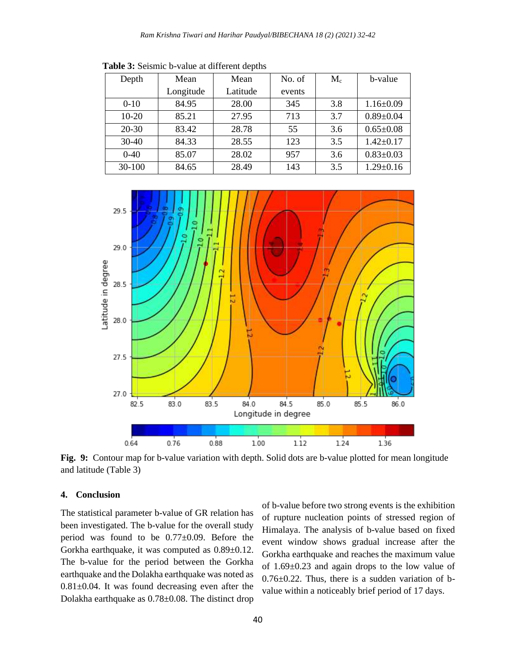| Depth     | Mean      | Mean     | No. of | $M_c$ | b-value         |
|-----------|-----------|----------|--------|-------|-----------------|
|           | Longitude | Latitude | events |       |                 |
| $0-10$    | 84.95     | 28.00    | 345    | 3.8   | $1.16 \pm 0.09$ |
| $10-20$   | 85.21     | 27.95    | 713    | 3.7   | $0.89 \pm 0.04$ |
| $20 - 30$ | 83.42     | 28.78    | 55     | 3.6   | $0.65 \pm 0.08$ |
| $30-40$   | 84.33     | 28.55    | 123    | 3.5   | $1.42 \pm 0.17$ |
| $0-40$    | 85.07     | 28.02    | 957    | 3.6   | $0.83 \pm 0.03$ |
| 30-100    | 84.65     | 28.49    | 143    | 3.5   | $1.29 \pm 0.16$ |

 **Table 3:** Seismic b-value at different depths



**Fig. 9:** Contour map for b-value variation with depth. Solid dots are b-value plotted for mean longitude and latitude (Table 3)

#### **4. Conclusion**

The statistical parameter b-value of GR relation has been investigated. The b-value for the overall study period was found to be 0.77±0.09. Before the Gorkha earthquake, it was computed as 0.89±0.12. The b-value for the period between the Gorkha earthquake and the Dolakha earthquake was noted as  $0.81 \pm 0.04$ . It was found decreasing even after the Dolakha earthquake as 0.78±0.08. The distinct drop of b-value before two strong events is the exhibition of rupture nucleation points of stressed region of Himalaya. The analysis of b-value based on fixed event window shows gradual increase after the Gorkha earthquake and reaches the maximum value of 1.69±0.23 and again drops to the low value of 0.76±0.22. Thus, there is a sudden variation of bvalue within a noticeably brief period of 17 days.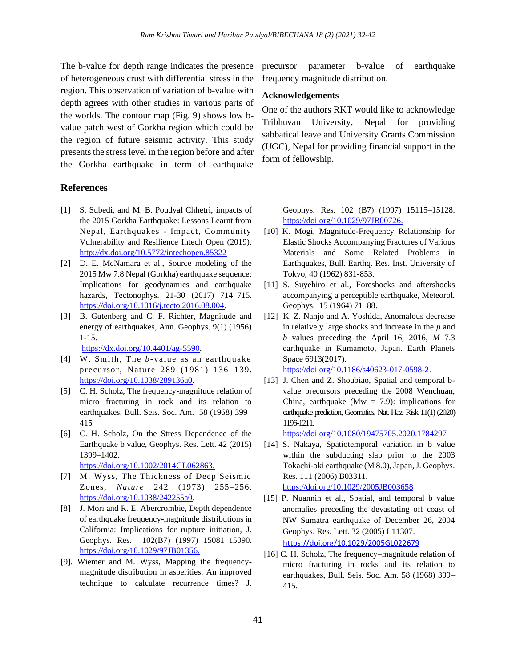The b-value for depth range indicates the presence of heterogeneous crust with differential stress in the region. This observation of variation of b-value with depth agrees with other studies in various parts of the worlds. The contour map (Fig. 9) shows low bvalue patch west of Gorkha region which could be the region of future seismic activity. This study presents the stress level in the region before and after the Gorkha earthquake in term of earthquake

## **References**

- [1] S. Subedi, and M. B. Poudyal Chhetri, impacts of the 2015 Gorkha Earthquake: Lessons Learnt from Nepal, Earthquakes - Impact, Community Vulnerability and Resilience Intech Open (2019). [http://dx.doi.org/10.5772/intechopen.85322](https://dx.doi.org/10.5772/intechopen.85322)
- [2] D. E. McNamara et al., Source modeling of the 2015 Mw 7.8 Nepal (Gorkha) earthquake sequence: Implications for geodynamics and earthquake hazards, Tectonophys. 21-30 (2017) 714-715. [https://doi.org/10.1016/j.tecto.2016.08.004.](https://doi.org/10.1016/j.tecto.2016.08.004)
- [3] B. Gutenberg and C. F. Richter, Magnitude and energy of earthquakes, Ann. Geophys. 9(1) (1956) 1-15.

[https://dx.doi.org/10.4401/ag-5590.](https://dx.doi.org/10.4401/ag-5590)

- [4] W. Smith, The *b*-value as an earthquake precursor, Nature 289 (1981) 136-139. [https://doi.org/10.1038/289136a0.](https://doi.org/10.1038/289136a0)
- [5] C. H. Scholz, The frequency-magnitude relation of micro fracturing in rock and its relation to earthquakes, Bull. Seis. Soc. Am. 58 (1968) 399– 415
- [6] C. H. Scholz, On the Stress Dependence of the Earthquake b value, Geophys. Res. Lett. 42 (2015) 1399–1402. [https://doi.org/1](https://doi.org/10.1016/j.tecto.2016.08.004)0.1002/2014GL062863.
- [7] M. Wyss, The Thickness of Deep Seismic Zones, *Nature* 242 (1973) 255–256. [https://doi.org/10.1038/242255a0.](https://doi.org/10.1038/242255a0)
- [8] J. Mori and R. E. Abercrombie, Depth dependence of earthquake frequency-magnitude distributions in California: Implications for rupture initiation, J. Geophys. Res. 102(B7) (1997) 15081–15090. [https://doi.org/10.1029/97JB01356.](https://doi.org/10.1029/97JB01356)
- [9]. Wiemer and M. Wyss, Mapping the frequencymagnitude distribution in asperities: An improved technique to calculate recurrence times? J.

precursor parameter b-value of earthquake frequency magnitude distribution.

#### **Acknowledgements**

One of the authors RKT would like to acknowledge Tribhuvan University, Nepal for providing sabbatical leave and University Grants Commission (UGC), Nepal for providing financial support in the form of fellowship.

> Geophys. Res. 102 (B7) (1997) 15115–15128. [https://doi.org/1](https://doi.org/10.1038/242255a0)0.1029/97JB00726.

- [10] K. Mogi, Magnitude-Frequency Relationship for Elastic Shocks Accompanying Fractures of Various Materials and Some Related Problems in Earthquakes, Bull. Earthq. Res. Inst. University of Tokyo, 40 (1962) 831-853.
- [11] S. Suyehiro et al., Foreshocks and aftershocks accompanying a perceptible earthquake, Meteorol. Geophys. 15 (1964) 71–88.
- [12] K. Z. Nanjo and A. Yoshida, Anomalous decrease in relatively large shocks and increase in the *p* and *b* values preceding the April 16, 2016, *M* 7.3 earthquake in Kumamoto, Japan. Earth Planets Space 6913(2017).
- https://doi.org/10.1186/s40623-017-0598-2. [13] J. Chen and Z. Shoubiao, Spatial and temporal bvalue precursors preceding the 2008 Wenchuan, China, earthquake ( $Mw = 7.9$ ): implications for earthquake prediction, Geomatics, Nat. Haz. Risk 11(1) (2020)

1196-1211.

https://doi.org[/10.1080/19475705.2020.1784297](https://doi.org/10.1080/19475705.2020.1784297)

- [14] S. Nakaya, Spatiotemporal variation in b value within the subducting slab prior to the 2003 Tokachi-oki earthquake (M 8.0), Japan, J. Geophys. Res. 111 (2006) B03311. <https://doi.org/10.1029/2005JB003658>
- [15] P. Nuannin et al., Spatial, and temporal b value anomalies preceding the devastating off coast of NW Sumatra earthquake of December 26, 2004 Geophys. Res. Lett. 32 (2005) L11307. https://doi.org/10.1029/2005GL022679
- [16] C. H. Scholz, The frequency–magnitude relation of micro fracturing in rocks and its relation to earthquakes, Bull. Seis. Soc. Am. 58 (1968) 399– 415.